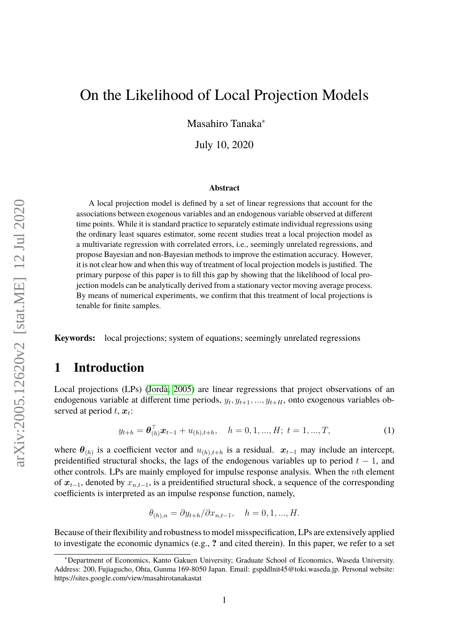Masahiro Tanaka<sup>∗</sup>

July 10, 2020

#### **Abstract**

A local projection model is defined by a set of linear regressions that account for the associations between exogenous variables and an endogenous variable observed at different time points. While it is standard practice to separately estimate individual regressions using the ordinary least squares estimator, some recent studies treat a local projection model as a multivariate regression with correlated errors, i.e., seemingly unrelated regressions, and propose Bayesian and non-Bayesian methods to improve the estimation accuracy. However, it is not clear how and when this way of treatment of local projection models is justified. The primary purpose of this paper is to fill this gap by showing that the likelihood of local projection models can be analytically derived from a stationary vector moving average process. By means of numerical experiments, we confirm that this treatment of local projections is tenable for finite samples.

**Keywords:** local projections; system of equations; seemingly unrelated regressions

### **1 Introduction**

Local projections (LPs) [\(Jordà, 2005\)](#page-8-0) are linear regressions that project observations of an endogenous variable at different time periods,  $y_t, y_{t+1}, ..., y_{t+H}$ , onto exogenous variables observed at period  $t, x_t$ :

<span id="page-0-0"></span>
$$
y_{t+h} = \boldsymbol{\theta}_{(h)}^{\top} \boldsymbol{x}_{t-1} + u_{(h), t+h}, \quad h = 0, 1, ..., H; \ t = 1, ..., T,
$$
 (1)

where  $\theta_{(h)}$  is a coefficient vector and  $u_{(h),t+h}$  is a residual.  $x_{t-1}$  may include an intercept, preidentified structural shocks, the lags of the endogenous variables up to period  $t - 1$ , and other controls. LPs are mainly employed for impulse response analysis. When the nth element of  $x_{t-1}$ , denoted by  $x_{n,t-1}$ , is a preidentified structural shock, a sequence of the corresponding coefficients is interpreted as an impulse response function, namely,

$$
\theta_{(h),n} = \partial y_{t+h} / \partial x_{n,t-1}, \quad h = 0, 1, ..., H.
$$

Because of their flexibility and robustness to model misspecification, LPs are extensively applied to investigate the economic dynamics (e.g., **?** and cited therein). In this paper, we refer to a set

<sup>∗</sup>Department of Economics, Kanto Gakuen University; Graduate School of Economics, Waseda University. Address: 200, Fujiagucho, Ohta, Gunma 169-8050 Japan. Email: gspddlnit45@toki.waseda.jp. Personal website: https://sites.google.com/view/masahirotanakastat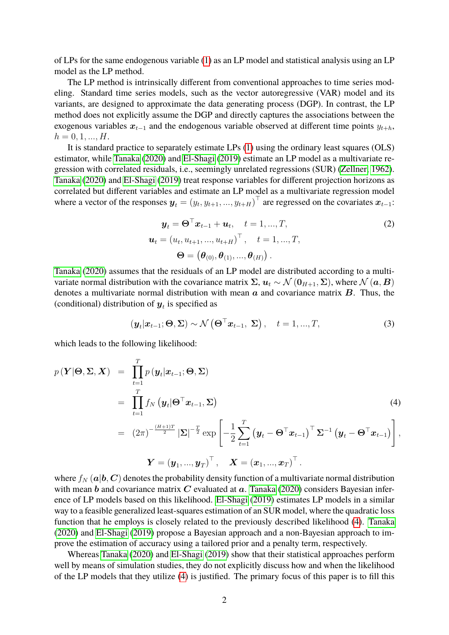of LPs for the same endogenous variable [\(1\)](#page-0-0) as an LP model and statistical analysis using an LP model as the LP method.

The LP method is intrinsically different from conventional approaches to time series modeling. Standard time series models, such as the vector autoregressive (VAR) model and its variants, are designed to approximate the data generating process (DGP). In contrast, the LP method does not explicitly assume the DGP and directly captures the associations between the exogenous variables  $x_{t-1}$  and the endogenous variable observed at different time points  $y_{t+h}$ ,  $h = 0, 1, ..., H$ .

It is standard practice to separately estimate LPs [\(1\)](#page-0-0) using the ordinary least squares (OLS) estimator, while [Tanaka](#page-8-1) [\(2020\)](#page-8-1) and [El-Shagi](#page-8-2) [\(2019\)](#page-8-2) estimate an LP model as a multivariate regression with correlated residuals, i.e., seemingly unrelated regressions (SUR) [\(Zellner, 1962\)](#page-8-3). [Tanaka](#page-8-1) [\(2020\)](#page-8-1) and [El-Shagi](#page-8-2) [\(2019\)](#page-8-2) treat response variables for different projection horizons as correlated but different variables and estimate an LP model as a multivariate regression model where a vector of the responses  $y_t = (y_t, y_{t+1}, ..., y_{t+H})^\top$  are regressed on the covariates  $x_{t-1}$ :

<span id="page-1-1"></span>
$$
\mathbf{y}_t = \mathbf{\Theta}^\top \mathbf{x}_{t-1} + \mathbf{u}_t, \quad t = 1, ..., T,
$$
  
\n
$$
\mathbf{u}_t = (u_t, u_{t+1}, ..., u_{t+H})^\top, \quad t = 1, ..., T,
$$
  
\n
$$
\mathbf{\Theta} = (\mathbf{\theta}_{(0)}, \mathbf{\theta}_{(1)}, ..., \mathbf{\theta}_{(H)}).
$$
\n(2)

[Tanaka](#page-8-1) [\(2020\)](#page-8-1) assumes that the residuals of an LP model are distributed according to a multivariate normal distribution with the covariance matrix  $\Sigma$ ,  $u_t \sim \mathcal{N}(0_{H+1}, \Sigma)$ , where  $\mathcal{N}(a, B)$ denotes a multivariate normal distribution with mean  $\alpha$  and covariance matrix  $\bm{B}$ . Thus, the (conditional) distribution of  $y_t$  is specified as

<span id="page-1-2"></span>
$$
(\boldsymbol{y}_t|\boldsymbol{x}_{t-1};\boldsymbol{\Theta},\boldsymbol{\Sigma}) \sim \mathcal{N}\left(\boldsymbol{\Theta}^{\top}\boldsymbol{x}_{t-1},\boldsymbol{\Sigma}\right), \quad t = 1,...,T,
$$
\n(3)

which leads to the following likelihood:

<span id="page-1-0"></span>
$$
p(\mathbf{Y}|\mathbf{\Theta}, \mathbf{\Sigma}, \mathbf{X}) = \prod_{t=1}^{T} p(\mathbf{y}_t|\mathbf{x}_{t-1}; \mathbf{\Theta}, \mathbf{\Sigma})
$$
  
\n
$$
= \prod_{t=1}^{T} f_N(\mathbf{y}_t|\mathbf{\Theta}^\top \mathbf{x}_{t-1}, \mathbf{\Sigma})
$$
  
\n
$$
= (2\pi)^{-\frac{(H+1)T}{2}} |\mathbf{\Sigma}|^{-\frac{T}{2}} \exp\left[-\frac{1}{2} \sum_{t=1}^{T} (\mathbf{y}_t - \mathbf{\Theta}^\top \mathbf{x}_{t-1})^\top \mathbf{\Sigma}^{-1} (\mathbf{y}_t - \mathbf{\Theta}^\top \mathbf{x}_{t-1})\right],
$$
  
\n
$$
\mathbf{Y} = (\mathbf{y}_1, ..., \mathbf{y}_T)^\top, \quad \mathbf{X} = (\mathbf{x}_1, ..., \mathbf{x}_T)^\top.
$$

where  $f_N(a|b, C)$  denotes the probability density function of a multivariate normal distribution with mean  $b$  and covariance matrix  $C$  evaluated at  $a$ . [Tanaka](#page-8-1) [\(2020\)](#page-8-1) considers Bayesian inference of LP models based on this likelihood. [El-Shagi](#page-8-2) [\(2019\)](#page-8-2) estimates LP models in a similar way to a feasible generalized least-squares estimation of an SUR model, where the quadratic loss function that he employs is closely related to the previously described likelihood [\(4\)](#page-1-0). [Tanaka](#page-8-1) [\(2020\)](#page-8-1) and [El-Shagi](#page-8-2) [\(2019\)](#page-8-2) propose a Bayesian approach and a non-Bayesian approach to improve the estimation of accuracy using a tailored prior and a penalty term, respectively.

Whereas [Tanaka](#page-8-1) [\(2020\)](#page-8-1) and [El-Shagi](#page-8-2) [\(2019\)](#page-8-2) show that their statistical approaches perform well by means of simulation studies, they do not explicitly discuss how and when the likelihood of the LP models that they utilize [\(4\)](#page-1-0) is justified. The primary focus of this paper is to fill this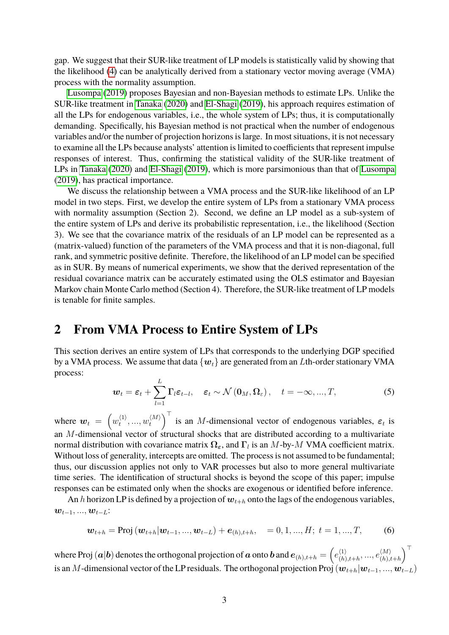gap. We suggest that their SUR-like treatment of LP models is statistically valid by showing that the likelihood [\(4\)](#page-1-0) can be analytically derived from a stationary vector moving average (VMA) process with the normality assumption.

[Lusompa](#page-8-4) [\(2019\)](#page-8-4) proposes Bayesian and non-Bayesian methods to estimate LPs. Unlike the SUR-like treatment in [Tanaka](#page-8-1) [\(2020\)](#page-8-1) and [El-Shagi](#page-8-2) [\(2019\)](#page-8-2), his approach requires estimation of all the LPs for endogenous variables, i.e., the whole system of LPs; thus, it is computationally demanding. Specifically, his Bayesian method is not practical when the number of endogenous variables and/or the number of projection horizons is large. In most situations, it is not necessary to examine all the LPs because analysts' attention is limited to coefficients that represent impulse responses of interest. Thus, confirming the statistical validity of the SUR-like treatment of LPs in [Tanaka](#page-8-1) [\(2020\)](#page-8-1) and [El-Shagi](#page-8-2) [\(2019\)](#page-8-2), which is more parsimonious than that of [Lusompa](#page-8-4) [\(2019\)](#page-8-4), has practical importance.

We discuss the relationship between a VMA process and the SUR-like likelihood of an LP model in two steps. First, we develop the entire system of LPs from a stationary VMA process with normality assumption (Section 2). Second, we define an LP model as a sub-system of the entire system of LPs and derive its probabilistic representation, i.e., the likelihood (Section 3). We see that the covariance matrix of the residuals of an LP model can be represented as a (matrix-valued) function of the parameters of the VMA process and that it is non-diagonal, full rank, and symmetric positive definite. Therefore, the likelihood of an LP model can be specified as in SUR. By means of numerical experiments, we show that the derived representation of the residual covariance matrix can be accurately estimated using the OLS estimator and Bayesian Markov chain Monte Carlo method (Section 4). Therefore, the SUR-like treatment of LP models is tenable for finite samples.

# **2 From VMA Process to Entire System of LPs**

This section derives an entire system of LPs that corresponds to the underlying DGP specified by a VMA process. We assume that data  $\{w_t\}$  are generated from an Lth-order stationary VMA process:

<span id="page-2-1"></span>
$$
\boldsymbol{w}_{t} = \boldsymbol{\varepsilon}_{t} + \sum_{l=1}^{L} \boldsymbol{\Gamma}_{l} \boldsymbol{\varepsilon}_{t-l}, \quad \boldsymbol{\varepsilon}_{t} \sim \mathcal{N}\left(\boldsymbol{0}_{M}, \boldsymbol{\Omega}_{\varepsilon}\right), \quad t = -\infty, ..., T,
$$
\n(5)

where  $w_t = \left( w_t^{\langle 1 \rangle} \right)$  $\langle 1\rangle_{t},...,\,w^{\langle M\rangle}_{t}$  $\binom{M}{t}$  is an *M*-dimensional vector of endogenous variables,  $\varepsilon_t$  is an M-dimensional vector of structural shocks that are distributed according to a multivariate normal distribution with covariance matrix  $\Omega_{\varepsilon}$ , and  $\Gamma_l$  is an M-by-M VMA coefficient matrix. Without loss of generality, intercepts are omitted. The process is not assumed to be fundamental; thus, our discussion applies not only to VAR processes but also to more general multivariate time series. The identification of structural shocks is beyond the scope of this paper; impulse responses can be estimated only when the shocks are exogenous or identified before inference.

An h horizon LP is defined by a projection of  $w_{t+h}$  onto the lags of the endogenous variables,  $w_{t-1}, ..., w_{t-L}$ :

<span id="page-2-0"></span>
$$
\mathbf{w}_{t+h} = \text{Proj}(\mathbf{w}_{t+h}|\mathbf{w}_{t-1},...,\mathbf{w}_{t-L}) + \mathbf{e}_{(h),t+h}, \quad = 0,1,...,H; \ t = 1,...,T,
$$
 (6)

where Proj  $(a|b)$  denotes the orthogonal projection of  $a$  onto  $b$  and  $e_{(h),t+h} = \left(e_{(h)}^{(1)}\right)$  $\langle 1 \rangle \langle h\rangle_{t+h},...,e^{\langle M \rangle}_{(h),h}$  $\binom{\langle M \rangle}{(h), t+h}$ is an  $M$ -dimensional vector of the LP residuals. The orthogonal projection Proj  $(\bm{w}_{t+h}|\bm{w}_{t-1}, ..., \bm{w}_{t-L})$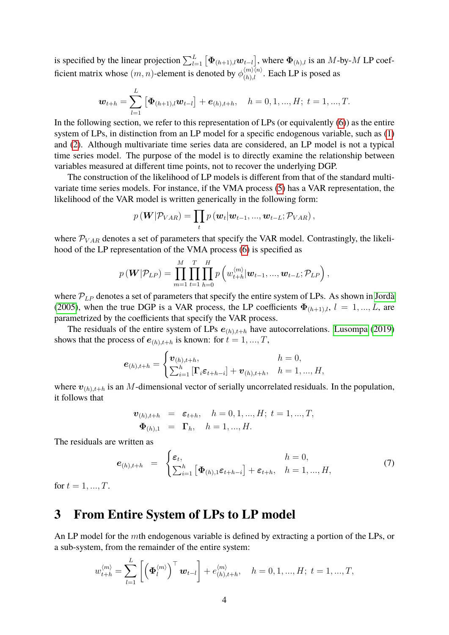is specified by the linear projection  $\sum_{l=1}^{L} \big[\Phi_{(h+1),l}\bm{w}_{t-l}\big]$ , where  $\Phi_{(h),l}$  is an  $M$ -by- $M$  LP coefficient matrix whose  $(m, n)$ -element is denoted by  $\phi_{(h),l}^{(m)\langle n\rangle}$ . Each LP is posed as

$$
\boldsymbol{w}_{t+h} = \sum_{l=1}^{L} [\boldsymbol{\Phi}_{(h+1),l} \boldsymbol{w}_{t-l}] + \boldsymbol{e}_{(h),t+h}, \quad h = 0, 1, ..., H; t = 1, ..., T.
$$

In the following section, we refer to this representation of LPs (or equivalently  $(6)$ ) as the entire system of LPs, in distinction from an LP model for a specific endogenous variable, such as [\(1\)](#page-0-0) and [\(2\)](#page-1-1). Although multivariate time series data are considered, an LP model is not a typical time series model. The purpose of the model is to directly examine the relationship between variables measured at different time points, not to recover the underlying DGP.

The construction of the likelihood of LP models is different from that of the standard multivariate time series models. For instance, if the VMA process [\(5\)](#page-2-1) has a VAR representation, the likelihood of the VAR model is written generically in the following form:

$$
p(\boldsymbol{W} | \mathcal{P}_{VAR}) = \prod_t p(\boldsymbol{w}_t | \boldsymbol{w}_{t-1}, ..., \boldsymbol{w}_{t-L}; \mathcal{P}_{VAR}),
$$

where  $P_{VAR}$  denotes a set of parameters that specify the VAR model. Contrastingly, the likelihood of the LP representation of the VMA process [\(6\)](#page-2-0) is specified as

$$
p(\mathbf{W}|\mathcal{P}_{LP}) = \prod_{m=1}^{M} \prod_{t=1}^{T} \prod_{h=0}^{H} p\left(w_{t+h}^{\langle m \rangle}|\mathbf{w}_{t-1},..., \mathbf{w}_{t-L}; \mathcal{P}_{LP}\right),
$$

where  $P_{LP}$  denotes a set of parameters that specify the entire system of LPs. As shown in [Jordà](#page-8-0) [\(2005\)](#page-8-0), when the true DGP is a VAR process, the LP coefficients  $\Phi_{(h+1),l}$ ,  $l = 1,...,L$ , are parametrized by the coefficients that specify the VAR process.

The residuals of the entire system of LPs  $e_{(h),t+h}$  have autocorrelations. [Lusompa](#page-8-4) [\(2019\)](#page-8-4) shows that the process of  $e_{(h),t+h}$  is known: for  $t = 1, ..., T$ ,

$$
\boldsymbol{e}_{(h),t+h} = \begin{cases} \boldsymbol{v}_{(h),t+h}, & h = 0, \\ \sum_{i=1}^{h} \left[ \boldsymbol{\Gamma}_i \boldsymbol{\varepsilon}_{t+h-i} \right] + \boldsymbol{v}_{(h),t+h}, & h = 1,...,H, \end{cases}
$$

where  $v_{(h),t+h}$  is an M-dimensional vector of serially uncorrelated residuals. In the population, it follows that

$$
\begin{array}{rcl}\n\boldsymbol{v}_{(h),t+h} & = & \varepsilon_{t+h}, \quad h = 0, 1, \dots, H; \ t = 1, \dots, T, \\
\boldsymbol{\Phi}_{(h),1} & = & \Gamma_h, \quad h = 1, \dots, H.\n\end{array}
$$

The residuals are written as

<span id="page-3-0"></span>
$$
\boldsymbol{e}_{(h),t+h} = \begin{cases} \boldsymbol{\varepsilon}_t, & h = 0, \\ \sum_{i=1}^h \left[ \boldsymbol{\Phi}_{(h),1} \boldsymbol{\varepsilon}_{t+h-i} \right] + \boldsymbol{\varepsilon}_{t+h}, & h = 1, ..., H, \end{cases}
$$
(7)

for  $t = 1, ..., T$ .

## **3 From Entire System of LPs to LP model**

An LP model for the mth endogenous variable is defined by extracting a portion of the LPs, or a sub-system, from the remainder of the entire system:

$$
w_{t+h}^{\langle m \rangle} = \sum_{l=1}^{L} \left[ \left( \boldsymbol{\Phi}_{l}^{\langle m \rangle} \right)^{\top} \boldsymbol{w}_{t-l} \right] + e_{(h),t+h}^{\langle m \rangle}, \quad h = 0, 1, ..., H; \ t = 1, ..., T,
$$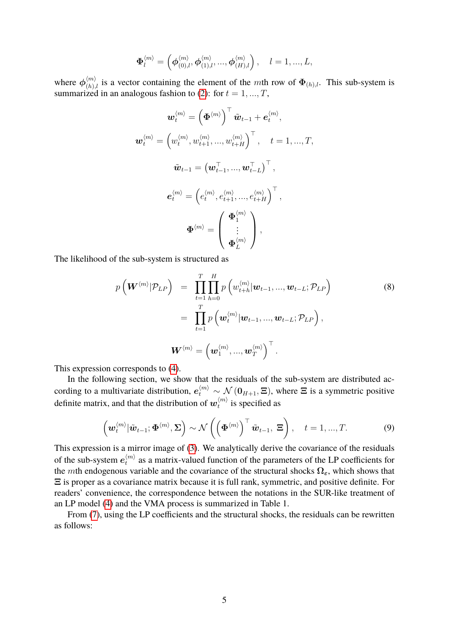$$
\mathbf{\Phi}_{l}^{\langle m \rangle} = \left( \boldsymbol{\phi}_{(0),l}^{\langle m \rangle}, \boldsymbol{\phi}_{(1),l}^{\langle m \rangle}, ..., \boldsymbol{\phi}_{(H),l}^{\langle m \rangle} \right), \quad l = 1, ..., L,
$$

where  $\phi_{(h),l}^{\langle m \rangle}$  is a vector containing the element of the mth row of  $\Phi_{(h),l}$ . This sub-system is summarized in an analogous fashion to [\(2\)](#page-1-1): for  $t = 1, ..., T$ ,

$$
\boldsymbol{w}_{t}^{\langle m \rangle} = \left(\boldsymbol{\Phi}^{\langle m \rangle}\right)^{\top} \tilde{\boldsymbol{w}}_{t-1} + \boldsymbol{e}_{t}^{\langle m \rangle},
$$

$$
\boldsymbol{w}_{t}^{\langle m \rangle} = \left(w_{t}^{\langle m \rangle}, w_{t+1}^{\langle m \rangle}, ..., w_{t+H}^{\langle m \rangle}\right)^{\top}, \quad t = 1, ..., T,
$$

$$
\tilde{\boldsymbol{w}}_{t-1} = \left(\boldsymbol{w}_{t-1}^{\top}, ..., \boldsymbol{w}_{t-L}^{\top}\right)^{\top},
$$

$$
\boldsymbol{e}_{t}^{\langle m \rangle} = \left(e_{t}^{\langle m \rangle}, e_{t+1}^{\langle m \rangle}, ..., e_{t+H}^{\langle m \rangle}\right)^{\top},
$$

$$
\boldsymbol{\Phi}^{\langle m \rangle} = \begin{pmatrix} \boldsymbol{\Phi}_{1}^{\langle m \rangle} \\ \vdots \\ \boldsymbol{\Phi}_{L}^{\langle m \rangle} \end{pmatrix},
$$

The likelihood of the sub-system is structured as

<span id="page-4-1"></span>
$$
p\left(\boldsymbol{W}^{\langle m\rangle}|\mathcal{P}_{LP}\right) = \prod_{t=1}^{T} \prod_{h=0}^{H} p\left(w_{t+h}^{\langle m\rangle}|\boldsymbol{w}_{t-1},..., \boldsymbol{w}_{t-L}; \mathcal{P}_{LP}\right)
$$
  
\n
$$
= \prod_{t=1}^{T} p\left(\boldsymbol{w}_{t}^{\langle m\rangle}|\boldsymbol{w}_{t-1},..., \boldsymbol{w}_{t-L}; \mathcal{P}_{LP}\right),
$$
  
\n
$$
\boldsymbol{W}^{\langle m\rangle} = \left(\boldsymbol{w}_{1}^{\langle m\rangle}, ..., \boldsymbol{w}_{T}^{\langle m\rangle}\right)^{\top}.
$$
\n(8)

This expression corresponds to [\(4\)](#page-1-0).

In the following section, we show that the residuals of the sub-system are distributed according to a multivariate distribution,  $e_t^{\langle m \rangle} \sim \mathcal{N}(\mathbf{0}_{H+1}, \Xi)$ , where  $\Xi$  is a symmetric positive definite matrix, and that the distribution of  $\bm{w}_t^{\langle m \rangle}$  $t^{(m)}$  is specified as

<span id="page-4-0"></span>
$$
\left(\boldsymbol{w}_{t}^{\langle m\rangle}|\tilde{\boldsymbol{w}}_{t-1};\boldsymbol{\Phi}^{\langle m\rangle},\boldsymbol{\Sigma}\right)\sim\mathcal{N}\left(\left(\boldsymbol{\Phi}^{\langle m\rangle}\right)^{\top}\tilde{\boldsymbol{w}}_{t-1},\,\boldsymbol{\Xi}\right),\quad t=1,...,T.\tag{9}
$$

This expression is a mirror image of [\(3\)](#page-1-2). We analytically derive the covariance of the residuals of the sub-system  $e_t^{\langle m \rangle}$  $t_t^{(m)}$  as a matrix-valued function of the parameters of the LP coefficients for the mth endogenous variable and the covariance of the structural shocks  $\Omega_{\varepsilon}$ , which shows that Ξ is proper as a covariance matrix because it is full rank, symmetric, and positive definite. For readers' convenience, the correspondence between the notations in the SUR-like treatment of an LP model [\(4\)](#page-1-0) and the VMA process is summarized in Table 1.

From [\(7\)](#page-3-0), using the LP coefficients and the structural shocks, the residuals can be rewritten as follows: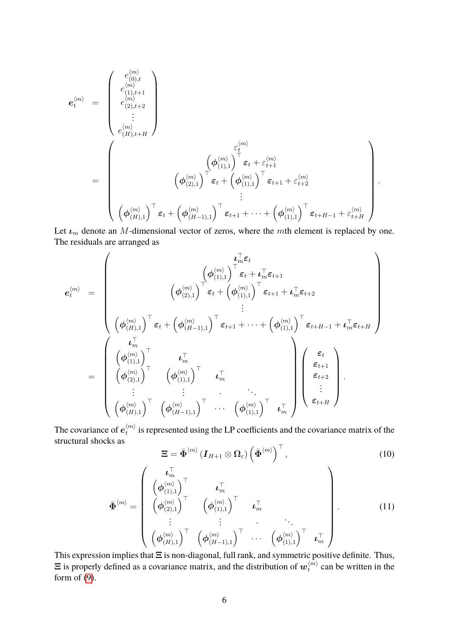$$
\begin{array}{llll} \displaystyle \boldsymbol{e}^{\langle m \rangle}_{t} & = & \displaystyle \left( \begin{array}{c} e^{\langle m \rangle}_{(0),t} \\ e^{\langle m \rangle}_{(1),t+1} \\ e^{\langle m \rangle}_{(2),t+2} \\ \vdots \\ e^{\langle m \rangle}_{(H),t+H} \end{array} \right) \\ & = & \displaystyle \left( \boldsymbol{\phi}^{\langle m \rangle}_{(1),t+H} \right)^{\top} \boldsymbol{\varepsilon}_{t} + \left( \boldsymbol{\phi}^{\langle m \rangle}_{(1),1} \right)^{\top} \boldsymbol{\varepsilon}_{t} + \boldsymbol{\varepsilon}^{\langle m \rangle}_{t+1} \\ & \hspace{-20pt} \vdots \\ & \displaystyle \left( \boldsymbol{\phi}^{\langle m \rangle}_{(2),1} \right)^{\top} \boldsymbol{\varepsilon}_{t} + \left( \boldsymbol{\phi}^{\langle m \rangle}_{(1),1} \right)^{\top} \boldsymbol{\varepsilon}_{t+1} + \boldsymbol{\varepsilon}^{\langle m \rangle}_{t+2} \\ & \vdots \\ & \displaystyle \left( \boldsymbol{\phi}^{\langle m \rangle}_{(H),1} \right)^{\top} \boldsymbol{\varepsilon}_{t} + \left( \boldsymbol{\phi}^{\langle m \rangle}_{(H-1),1} \right)^{\top} \boldsymbol{\varepsilon}_{t+1} + \cdots + \left( \boldsymbol{\phi}^{\langle m \rangle}_{(1),1} \right)^{\top} \boldsymbol{\varepsilon}_{t+H-1} + \boldsymbol{\varepsilon}^{\langle m \rangle}_{t+H} \end{array} \right). \end{array}
$$

Let  $\mathbf{L}_m$  denote an M-dimensional vector of zeros, where the mth element is replaced by one. The residuals are arranged as

$$
\mathbf{e}_{t}^{\langle m \rangle} = \begin{pmatrix}\n\mathbf{L}_{m}^{\top} \mathbf{\varepsilon}_{t} \\
\left(\boldsymbol{\phi}_{(1),1}^{\langle m \rangle}\right)^{\top} \mathbf{\varepsilon}_{t} + \mathbf{L}_{m}^{\top} \mathbf{\varepsilon}_{t+1} \\
\left(\boldsymbol{\phi}_{(2),1}^{\langle m \rangle}\right)^{\top} \mathbf{\varepsilon}_{t} + \left(\boldsymbol{\phi}_{(1),1}^{\langle m \rangle}\right)^{\top} \mathbf{\varepsilon}_{t+1} + \mathbf{L}_{m}^{\top} \mathbf{\varepsilon}_{t+2} \\
\vdots \\
\left(\boldsymbol{\phi}_{(H),1}^{\langle m \rangle}\right)^{\top} \mathbf{\varepsilon}_{t} + \left(\boldsymbol{\phi}_{(H-1),1}^{\langle m \rangle}\right)^{\top} \mathbf{\varepsilon}_{t+1} + \dots + \left(\boldsymbol{\phi}_{(1),1}^{\langle m \rangle}\right)^{\top} \mathbf{\varepsilon}_{t+H-1} + \mathbf{L}_{m}^{\top} \mathbf{\varepsilon}_{t+H} \\
\left(\boldsymbol{\phi}_{(1),1}^{\langle m \rangle}\right)^{\top} \mathbf{\varepsilon}_{t} + \left(\boldsymbol{\phi}_{(1),1}^{\langle m \rangle}\right)^{\top} \mathbf{\varepsilon}_{t+1} + \dots + \left(\boldsymbol{\phi}_{(1),1}^{\langle m \rangle}\right)^{\top} \mathbf{\varepsilon}_{t+H-1} + \mathbf{L}_{m}^{\top} \mathbf{\varepsilon}_{t+H} \\
\left(\boldsymbol{\phi}_{(2),1}^{\langle m \rangle}\right)^{\top} \mathbf{\varepsilon}_{m}^{\top} \\
\vdots \\
\left(\boldsymbol{\phi}_{(H),1}^{\langle m \rangle}\right)^{\top} \left(\boldsymbol{\phi}_{(H-1),1}^{\langle m \rangle}\right)^{\top} \cdots \left(\boldsymbol{\phi}_{(1),1}^{\langle m \rangle}\right)^{\top} \mathbf{\varepsilon}_{m}^{\top}\n\end{pmatrix}\n\begin{pmatrix}\n\mathbf{\varepsilon}_{t} \\
\mathbf{\varepsilon}_{t+1} \\
\mathbf{\varepsilon}_{t+2} \\
\vdots \\
\mathbf{\varepsilon}_{t+H}\n\end{pmatrix}.
$$

The covariance of  $e_t^{\langle m \rangle}$  $t_t^{(m)}$  is represented using the LP coefficients and the covariance matrix of the structural shocks as

<span id="page-5-0"></span>
$$
\mathbf{\Xi} = \bar{\mathbf{\Phi}}^{\langle m \rangle} \left( \mathbf{I}_{H+1} \otimes \mathbf{\Omega}_{\varepsilon} \right) \left( \bar{\mathbf{\Phi}}^{\langle m \rangle} \right)^{\top},\tag{10}
$$

<span id="page-5-1"></span>
$$
\bar{\Phi}^{\langle m \rangle} = \begin{pmatrix} \boldsymbol{\iota}_m^{\top} & \boldsymbol{\iota}_m^{\top} \\ \left(\boldsymbol{\phi}_{(1),1}^{\langle m \rangle}\right)^{\top} & \boldsymbol{\iota}_m^{\top} \\ \left(\boldsymbol{\phi}_{(2),1}^{\langle m \rangle}\right)^{\top} & \left(\boldsymbol{\phi}_{(1),1}^{\langle m \rangle}\right)^{\top} & \boldsymbol{\iota}_m^{\top} \\ \vdots & \vdots & \ddots & \vdots \\ \left(\boldsymbol{\phi}_{(H),1}^{\langle m \rangle}\right)^{\top} & \left(\boldsymbol{\phi}_{(H-1),1}^{\langle m \rangle}\right)^{\top} & \cdots & \left(\boldsymbol{\phi}_{(1),1}^{\langle m \rangle}\right)^{\top} & \boldsymbol{\iota}_m^{\top} \end{pmatrix} . \tag{11}
$$

This expression implies that  $\Xi$  is non-diagonal, full rank, and symmetric positive definite. Thus,  $\Xi$  is properly defined as a covariance matrix, and the distribution of  $\boldsymbol{w}_t^{(m)}$  $t^{(m)}$  can be written in the form of  $(9)$ .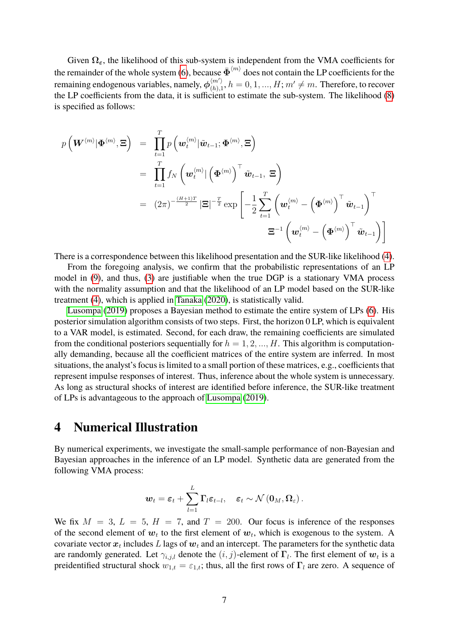Given  $\Omega_{\varepsilon}$ , the likelihood of this sub-system is independent from the VMA coefficients for the remainder of the whole system [\(6\)](#page-2-0), because  $\bar{\Phi}^{\langle m\rangle}$  does not contain the LP coefficients for the remaining endogenous variables, namely,  $\phi_{(h)}^{\langle m' \rangle}$  $\binom{\langle m' \rangle}{(h),1}, h = 0, 1, ..., H; m' \neq m.$  Therefore, to recover the LP coefficients from the data, it is sufficient to estimate the sub-system. The likelihood [\(8\)](#page-4-1) is specified as follows:

$$
p\left(\mathbf{W}^{\langle m \rangle}|\mathbf{\Phi}^{\langle m \rangle},\Xi\right) = \prod_{t=1}^{T} p\left(\mathbf{w}_{t}^{\langle m \rangle}|\tilde{\mathbf{w}}_{t-1};\mathbf{\Phi}^{\langle m \rangle},\Xi\right)
$$
  
\n
$$
= \prod_{t=1}^{T} f_{N}\left(\mathbf{w}_{t}^{\langle m \rangle}|\left(\mathbf{\Phi}^{\langle m \rangle}\right)^{\top}\tilde{\mathbf{w}}_{t-1},\Xi\right)
$$
  
\n
$$
= (2\pi)^{-\frac{(H+1)T}{2}}|\Xi|^{-\frac{T}{2}}\exp\left[-\frac{1}{2}\sum_{t=1}^{T}\left(\mathbf{w}_{t}^{\langle m \rangle} - \left(\mathbf{\Phi}^{\langle m \rangle}\right)^{\top}\tilde{\mathbf{w}}_{t-1}\right)^{\top}
$$
  
\n
$$
\Xi^{-1}\left(\mathbf{w}_{t}^{\langle m \rangle} - \left(\mathbf{\Phi}^{\langle m \rangle}\right)^{\top}\tilde{\mathbf{w}}_{t-1}\right)\right]
$$

There is a correspondence between this likelihood presentation and the SUR-like likelihood [\(4\)](#page-1-0).

From the foregoing analysis, we confirm that the probabilistic representations of an LP model in [\(9\)](#page-4-0), and thus, [\(3\)](#page-1-2) are justifiable when the true DGP is a stationary VMA process with the normality assumption and that the likelihood of an LP model based on the SUR-like treatment [\(4\)](#page-1-0), which is applied in [Tanaka](#page-8-1) [\(2020\)](#page-8-1), is statistically valid.

[Lusompa](#page-8-4) [\(2019\)](#page-8-4) proposes a Bayesian method to estimate the entire system of LPs [\(6\)](#page-2-0). His posterior simulation algorithm consists of two steps. First, the horizon 0 LP, which is equivalent to a VAR model, is estimated. Second, for each draw, the remaining coefficients are simulated from the conditional posteriors sequentially for  $h = 1, 2, ..., H$ . This algorithm is computationally demanding, because all the coefficient matrices of the entire system are inferred. In most situations, the analyst's focus is limited to a small portion of these matrices, e.g., coefficients that represent impulse responses of interest. Thus, inference about the whole system is unnecessary. As long as structural shocks of interest are identified before inference, the SUR-like treatment of LPs is advantageous to the approach of [Lusompa](#page-8-4) [\(2019\)](#page-8-4).

#### **4 Numerical Illustration**

By numerical experiments, we investigate the small-sample performance of non-Bayesian and Bayesian approaches in the inference of an LP model. Synthetic data are generated from the following VMA process:

$$
\boldsymbol{w}_t = \boldsymbol{\varepsilon}_t + \sum_{l=1}^L \boldsymbol{\Gamma}_l \boldsymbol{\varepsilon}_{t-l}, \quad \boldsymbol{\varepsilon}_t \sim \mathcal{N}\left(\boldsymbol{0}_M, \boldsymbol{\Omega}_{\varepsilon}\right).
$$

We fix  $M = 3$ ,  $L = 5$ ,  $H = 7$ , and  $T = 200$ . Our focus is inference of the responses of the second element of  $w_t$  to the first element of  $w_t$ , which is exogenous to the system. A covariate vector  $\boldsymbol{x}_t$  includes  $L$  lags of  $\boldsymbol{w}_t$  and an intercept. The parameters for the synthetic data are randomly generated. Let  $\gamma_{i,j,l}$  denote the  $(i, j)$ -element of  $\Gamma_l$ . The first element of  $w_t$  is a preidentified structural shock  $w_{1,t} = \varepsilon_{1,t}$ ; thus, all the first rows of  $\Gamma_l$  are zero. A sequence of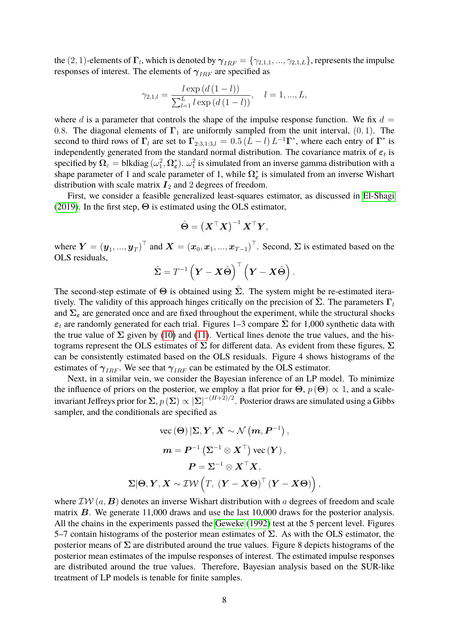the  $(2,1)$ -elements of  $\Gamma_l$ , which is denoted by  $\bm{\gamma}_{IRF}=\{\gamma_{2,1,1},...,\gamma_{2,1,L}\},$  represents the impulse responses of interest. The elements of  $\gamma_{IBF}$  are specified as

$$
\gamma_{2,1,l} = \frac{l \exp\left(d\left(1 - l\right)\right)}{\sum_{l=1}^{L} l \exp\left(d\left(1 - l\right)\right)}, \quad l = 1, ..., L,
$$

where d is a parameter that controls the shape of the impulse response function. We fix  $d =$ 0.8. The diagonal elements of  $\Gamma_1$  are uniformly sampled from the unit interval, (0, 1). The second to third rows of  $\Gamma_l$  are set to  $\Gamma_{2:3,1:3,l} = 0.5 (L - l) L^{-1} \Gamma^*$ , where each entry of  $\Gamma^*$  is independently generated from the standard normal distribution. The covariance matrix of  $\varepsilon_t$  is specified by  $\mathbf{\Omega}_{\varepsilon} =$  blkdiag  $(\omega_1^2, \mathbf{\Omega}_{\varepsilon}^*$  $(\epsilon)$ .  $\omega_1^2$  is simulated from an inverse gamma distribution with a shape parameter of 1 and scale parameter of 1, while  $\Omega_{\epsilon}^{*}$  $\frac{1}{\varepsilon}$  is simulated from an inverse Wishart distribution with scale matrix  $I_2$  and 2 degrees of freedom.

First, we consider a feasible generalized least-squares estimator, as discussed in [El-Shagi](#page-8-2) [\(2019\)](#page-8-2). In the first step,  $\Theta$  is estimated using the OLS estimator,

$$
\hat{\Theta} = \left( \boldsymbol{X}^{\top} \boldsymbol{X} \right)^{-1} \boldsymbol{X}^{\top} \boldsymbol{Y},
$$

where  $\bm{Y}=(\bm{y}_1,...,\bm{y}_T)^\top$  and  $\bm{X}=(\bm{x}_0,\bm{x}_1,...,\bm{x}_{T-1})^\top$ . Second,  $\Sigma$  is estimated based on the OLS residuals,

$$
\hat{\mathbf{\Sigma}} = T^{-1} \left( \mathbf{Y} - \mathbf{X} \hat{\mathbf{\Theta}} \right)^{\top} \left( \mathbf{Y} - \mathbf{X} \hat{\mathbf{\Theta}} \right).
$$

The second-step estimate of  $\Theta$  is obtained using  $\hat{\Sigma}$ . The system might be re-estimated iteratively. The validity of this approach hinges critically on the precision of  $\Sigma$ . The parameters  $\Gamma_l$ and  $\Sigma_{\varepsilon}$  are generated once and are fixed throughout the experiment, while the structural shocks  $\varepsilon_t$  are randomly generated for each trial. Figures 1–3 compare  $\Sigma$  for 1,000 synthetic data with the true value of  $\Sigma$  given by [\(10\)](#page-5-0) and [\(11\)](#page-5-1). Vertical lines denote the true values, and the histograms represent the OLS estimates of  $\Sigma$  for different data. As evident from these figures,  $\Sigma$ can be consistently estimated based on the OLS residuals. Figure 4 shows histograms of the estimates of  $\gamma_{IRF}$ . We see that  $\gamma_{IRF}$  can be estimated by the OLS estimator.

Next, in a similar vein, we consider the Bayesian inference of an LP model. To minimize the influence of priors on the posterior, we employ a flat prior for  $\Theta$ ,  $p(\Theta) \propto 1$ , and a scaleinvariant Jeffreys prior for  $\Sigma, p\,(\Sigma) \propto |\Sigma|^{-(H+2)/2}.$  Posterior draws are simulated using a Gibbs sampler, and the conditionals are specified as

$$
\begin{aligned} &\text{vec}\left(\mathbf{\Theta}\right)\left[\mathbf{\Sigma},\boldsymbol{Y},\boldsymbol{X}\sim\mathcal{N}\left(m,\boldsymbol{P}^{-1}\right), \right.\\ &\left.\boldsymbol{m}=\boldsymbol{P}^{-1}\left(\boldsymbol{\Sigma}^{-1}\otimes\boldsymbol{X}^{\top}\right)\text{vec}\left(\boldsymbol{Y}\right), \right.\\ &\left.\boldsymbol{P}=\boldsymbol{\Sigma}^{-1}\otimes\boldsymbol{X}^{\top}\boldsymbol{X}, \right.\\ &\left.\boldsymbol{\Sigma}\vert\boldsymbol{\Theta},\boldsymbol{Y},\boldsymbol{X}\sim\mathcal{IW}\left(\boldsymbol{T},\left(\boldsymbol{Y}-\boldsymbol{X}\boldsymbol{\Theta}\right)^{\top}\left(\boldsymbol{Y}-\boldsymbol{X}\boldsymbol{\Theta}\right)\right), \end{aligned}
$$

where  $\mathcal{IW}(a, B)$  denotes an inverse Wishart distribution with a degrees of freedom and scale matrix  $B$ . We generate 11,000 draws and use the last 10,000 draws for the posterior analysis. All the chains in the experiments passed the [Geweke](#page-8-5) [\(1992\)](#page-8-5) test at the 5 percent level. Figures 5–7 contain histograms of the posterior mean estimates of  $\Sigma$ . As with the OLS estimator, the posterior means of  $\Sigma$  are distributed around the true values. Figure 8 depicts histograms of the posterior mean estimates of the impulse responses of interest. The estimated impulse responses are distributed around the true values. Therefore, Bayesian analysis based on the SUR-like treatment of LP models is tenable for finite samples.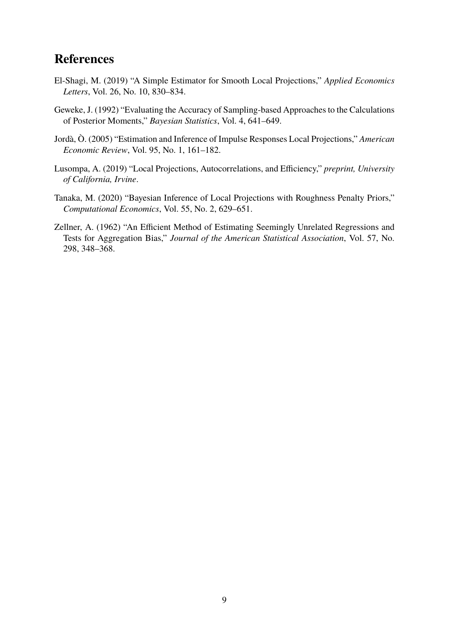## **References**

- <span id="page-8-2"></span>El-Shagi, M. (2019) "A Simple Estimator for Smooth Local Projections," *Applied Economics Letters*, Vol. 26, No. 10, 830–834.
- <span id="page-8-5"></span>Geweke, J. (1992) "Evaluating the Accuracy of Sampling-based Approaches to the Calculations of Posterior Moments," *Bayesian Statistics*, Vol. 4, 641–649.
- <span id="page-8-0"></span>Jordà, Ò. (2005) "Estimation and Inference of Impulse Responses Local Projections," *American Economic Review*, Vol. 95, No. 1, 161–182.
- <span id="page-8-4"></span>Lusompa, A. (2019) "Local Projections, Autocorrelations, and Efficiency," *preprint, University of California, Irvine*.
- <span id="page-8-1"></span>Tanaka, M. (2020) "Bayesian Inference of Local Projections with Roughness Penalty Priors," *Computational Economics*, Vol. 55, No. 2, 629–651.
- <span id="page-8-3"></span>Zellner, A. (1962) "An Efficient Method of Estimating Seemingly Unrelated Regressions and Tests for Aggregation Bias," *Journal of the American Statistical Association*, Vol. 57, No. 298, 348–368.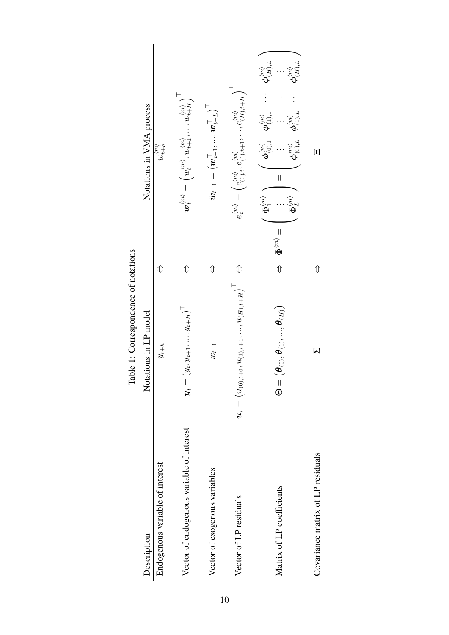|                                           | and it control control in the service                                                                             |                                                        |                                                                                                                                                                                                                                                                                                                                                                  |
|-------------------------------------------|-------------------------------------------------------------------------------------------------------------------|--------------------------------------------------------|------------------------------------------------------------------------------------------------------------------------------------------------------------------------------------------------------------------------------------------------------------------------------------------------------------------------------------------------------------------|
| Description                               | Notations in LP model                                                                                             |                                                        | Notations in VMA process                                                                                                                                                                                                                                                                                                                                         |
| Endogenous variable of interest           | $y_{t+h}$                                                                                                         | ⇕                                                      | $w_{t+h}^{(m)}$                                                                                                                                                                                                                                                                                                                                                  |
| Vector of endogenous variable of interest | $(y_t, y_{t+1}, , y_{t+H})$<br>$\boldsymbol{y}_t =$                                                               | ⇕                                                      | $\boldsymbol{w}_t^{(m)}=\left(w_t^{(m)},w_{t+1}^{(m)},,w_{t+H}^{(m)}\right)$                                                                                                                                                                                                                                                                                     |
| Vector of exogenous variables             | $x_{t-1}$                                                                                                         | ⇕                                                      | $\tilde{\bm{w}}_{t-1} = \left(\bm{w}_{t-1}^{\top},,\bm{w}_{t-L}^{\top}\right)^{\top}$                                                                                                                                                                                                                                                                            |
| Vector of LP residuals                    | $\boldsymbol{u}_t = \begin{pmatrix} u_{(0),t+0}, u_{(1),t+1},,u_{(H),t+H} \end{pmatrix}^\top \ \ \Leftrightarrow$ |                                                        | $e_t^{(m)} = \left(e_{(0),t}^{(m)}, e_{(1),t+1}^{(m)},,e_{(H),t+H}^{(m)}\right)^{T}$                                                                                                                                                                                                                                                                             |
| Matrix of LP coefficients                 | $\left(\bm{\theta}_{(0)}, \bm{\theta}_{(1)}, , \bm{\theta}_{(H)}\right)$<br>$\mathbb{G}$                          | $\left  {}\right $<br>$\Leftrightarrow$ $\Phi^{(m)}$ . | $\phi_{(H),L}^{\langle m \rangle}$<br>$\phi_{(H),L}^{\langle m \rangle}$<br>$\phi_{(0),1}^{\langle m\rangle} \quad \phi_{(1),1}^{\langle m\rangle}$<br>$\boldsymbol{\phi}_{(1),L}^{\langle m \rangle}$<br>$\boldsymbol{\phi}_{(0),L}^{\langle m \rangle}$<br>$\begin{array}{c} \hline \end{array}$<br>$\Phi_1^{\langle m \rangle}$ $\bigwedge$<br>$\Phi_L^{(m)}$ |
| Covariance matrix of LP residuals         | $\overline{\mathsf{M}}$                                                                                           | ⇕                                                      |                                                                                                                                                                                                                                                                                                                                                                  |

Table 1: Correspondence of notations Table 1: Correspondence of notations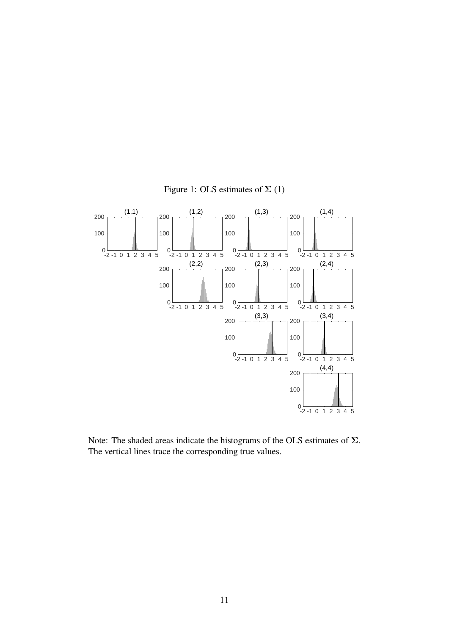

Figure 1: OLS estimates of  $\Sigma(1)$ 

Note: The shaded areas indicate the histograms of the OLS estimates of  $\Sigma$ . The vertical lines trace the corresponding true values.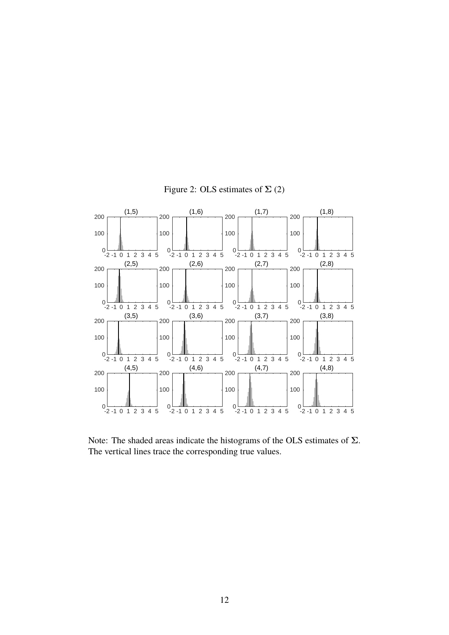

Figure 2: OLS estimates of  $\Sigma$  (2)

Note: The shaded areas indicate the histograms of the OLS estimates of  $\Sigma$ . The vertical lines trace the corresponding true values.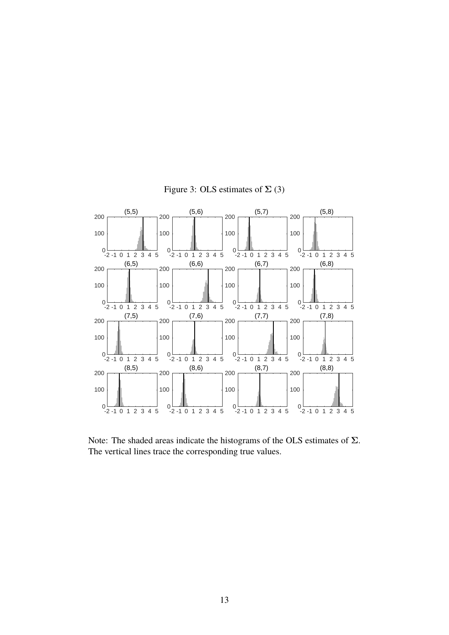

Figure 3: OLS estimates of  $\Sigma$  (3)

Note: The shaded areas indicate the histograms of the OLS estimates of  $\Sigma$ . The vertical lines trace the corresponding true values.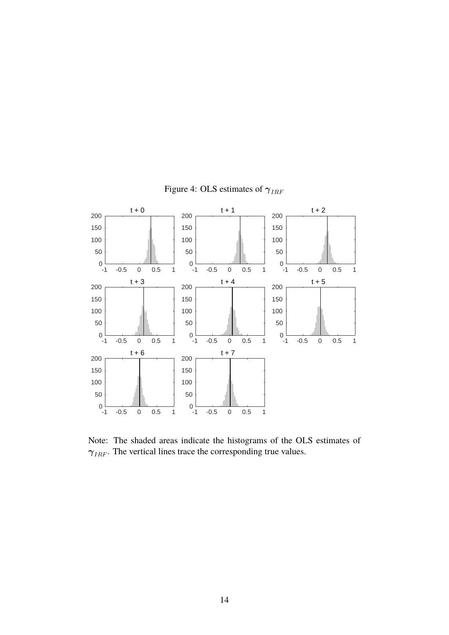

Figure 4: OLS estimates of  $\gamma_{IRF}$ 

Note: The shaded areas indicate the histograms of the OLS estimates of  $\gamma_{IRF}$ . The vertical lines trace the corresponding true values.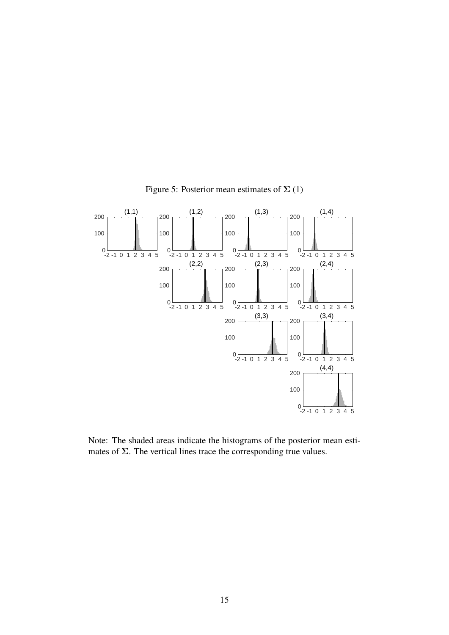

Figure 5: Posterior mean estimates of  $\Sigma(1)$ 

Note: The shaded areas indicate the histograms of the posterior mean estimates of  $\Sigma$ . The vertical lines trace the corresponding true values.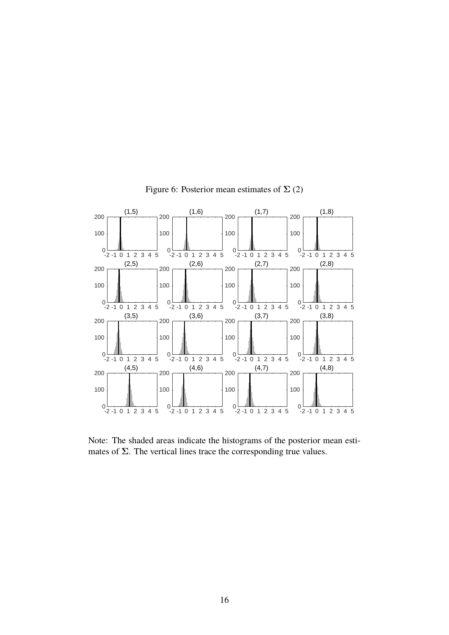

Figure 6: Posterior mean estimates of  $\Sigma(2)$ 

Note: The shaded areas indicate the histograms of the posterior mean estimates of  $\Sigma$ . The vertical lines trace the corresponding true values.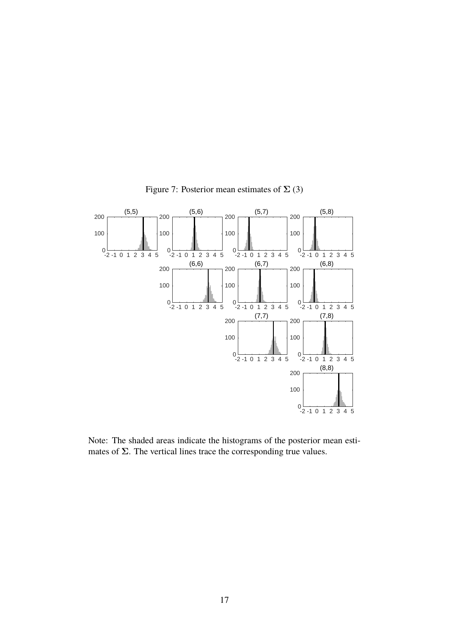

Figure 7: Posterior mean estimates of  $\Sigma(3)$ 

Note: The shaded areas indicate the histograms of the posterior mean estimates of  $\Sigma$ . The vertical lines trace the corresponding true values.